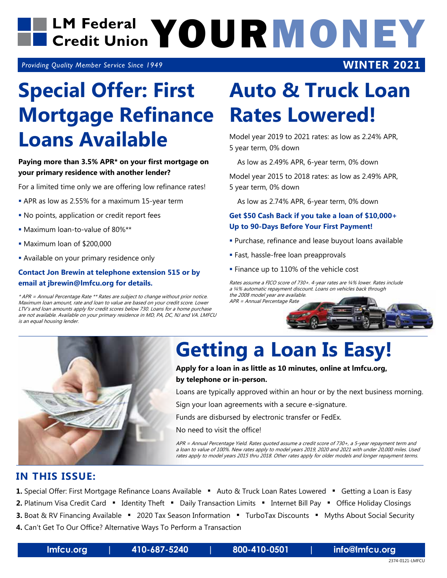

*Providing Quality Member Service Since 1949*

### **Rates Lowered! Mortgage Refinance Special Offer: First Loans Available**

#### **Paying more than 3.5% APR\* on your first mortgage on your primary residence with another lender?**

For a limited time only we are offering low refinance rates!

- APR as low as 2.55% for a maximum 15-year term
- No points, application or credit report fees
- Maximum loan-to-value of 80%\*\*
- Maximum loan of \$200,000
- **Available on your primary residence only**

#### **Contact Jon Brewin at telephone extension 515 or by email at jbrewin@lmfcu.org for details.**

\* APR = Annual Percentage Rate \*\* Rates are subject to change without prior notice. Maximum loan amount, rate and loan to value are based on your credit score. Lower LTV's and loan amounts apply for credit scores below 730. Loans for a home purchase are not available. Available on your primary residence in MD, PA, DC, NJ and VA. LMFCU is an equal housing lender.

# **Auto & Truck Loan**

**WINTER 2021**

Model year 2019 to 2021 rates: as low as 2.24% APR, 5 year term, 0% down

As low as 2.49% APR, 6-year term, 0% down

Model year 2015 to 2018 rates: as low as 2.49% APR, 5 year term, 0% down

As low as 2.74% APR, 6-year term, 0% down

#### **Get \$50 Cash Back if you take a loan of \$10,000+ Up to 90-Days Before Your First Payment!**

- Purchase, refinance and lease buyout loans available
- **Fast, hassle-free loan preapprovals**
- **Finance up to 110% of the vehicle cost**

Rates assume a FICO score of 730+. 4-year rates are ¼% lower. Rates include a ¼% automatic repayment discount. Loans on vehicles back through the 2008 model year are available.

APR = Annual Percentage Rate



### **Getting a Loan Is Easy!**

#### **Apply for a loan in as little as 10 minutes, online at lmfcu.org, by telephone or in-person.**

Loans are typically approved within an hour or by the next business morning.

Sign your loan agreements with a secure e-signature.

Funds are disbursed by electronic transfer or FedEx.

No need to visit the office!

APR = Annual Percentage Yield. Rates quoted assume a credit score of 730+, a 5-year repayment term and a loan to value of 100%. New rates apply to model years 2019, 2020 and 2021 with under 20,000 miles. Used rates apply to model years 2015 thru 2018. Other rates apply for older models and longer repayment terms.

#### **IN THIS ISSUE:**

- 1. Special Offer: First Mortgage Refinance Loans Available Auto & Truck Loan Rates Lowered Getting a Loan is Easy
- 2. Platinum Visa Credit Card "Identity Theft "Daily Transaction Limits "Internet Bill Pay "Office Holiday Closings
- **3.** Boat & RV Financing Available " 2020 Tax Season Information " TurboTax Discounts " Myths About Social Security
- **4.** Can't Get To Our Office? Alternative Ways To Perform a Transaction

**lmfcu.org | 410-687-5240 | 800-410-0501 | info@lmfcu.org**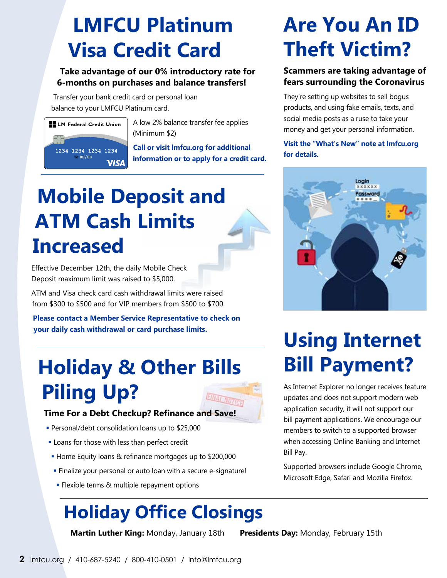### **LMFCU Platinum Visa Credit Card**

#### **Take advantage of our 0% introductory rate for 6-months on purchases and balance transfers!**

Transfer your bank credit card or personal loan balance to your LMFCU Platinum card.



 $\Box$  LM Federal Credit Union  $\parallel$  A low 2% balance transfer fee applies (Minimum \$2)

> **Call or visit lmfcu.org for additional information or to apply for a credit card.**

### **Mobile Deposit and ATM Cash Limits Increased**

Effective December 12th, the daily Mobile Check Deposit maximum limit was raised to \$5,000.

ATM and Visa check card cash withdrawal limits were raised from \$300 to \$500 and for VIP members from \$500 to \$700.

**Please contact a Member Service Representative to check on your daily cash withdrawal or card purchase limits.**

### **Holiday & Other Bills Piling Up?**



#### **Time For a Debt Checkup? Refinance and Save!**

- Personal/debt consolidation loans up to \$25,000
- **Loans for those with less than perfect credit**
- Home Equity loans & refinance mortgages up to \$200,000
- Finalize your personal or auto loan with a secure e-signature!
- **Flexible terms & multiple repayment options**

### **Holiday Office Closings**

 **Martin Luther King:** Monday, January 18th **Presidents Day:** Monday, February 15th

**Are You An ID Theft Victim?** 

#### **Scammers are taking advantage of fears surrounding the Coronavirus**

They're setting up websites to sell bogus products, and using fake emails, texts, and social media posts as a ruse to take your money and get your personal information.

**Visit the "What's New" note at lmfcu.org for details.** 



### **Using Internet Bill Payment?**

As Internet Explorer no longer receives feature updates and does not support modern web application security, it will not support our bill payment applications. We encourage our members to switch to a supported browser when accessing Online Banking and Internet Bill Pay.

Supported browsers include Google Chrome, Microsoft Edge, Safari and Mozilla Firefox.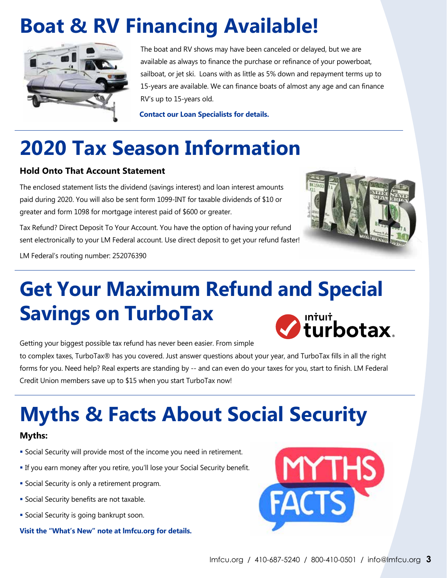### **Boat & RV Financing Available!**



 The boat and RV shows may have been canceled or delayed, but we are available as always to finance the purchase or refinance of your powerboat, sailboat, or jet ski. Loans with as little as 5% down and repayment terms up to 15-years are available. We can finance boats of almost any age and can finance RV's up to 15-years old.

 **Contact our Loan Specialists for details.**

### **2020 Tax Season Information**

#### **Hold Onto That Account Statement**

The enclosed statement lists the dividend (savings interest) and loan interest amounts paid during 2020. You will also be sent form 1099-INT for taxable dividends of \$10 or greater and form 1098 for mortgage interest paid of \$600 or greater.

Tax Refund? Direct Deposit To Your Account. You have the option of having your refund sent electronically to your LM Federal account. Use direct deposit to get your refund faster!



LM Federal's routing number: 252076390

## **Get Your Maximum Refund and Special Savings on TurboTax**



Getting your biggest possible tax refund has never been easier. From simple

to complex taxes, TurboTax® has you covered. Just answer questions about your year, and TurboTax fills in all the right forms for you. Need help? Real experts are standing by -- and can even do your taxes for you, start to finish. LM Federal Credit Union members save up to \$15 when you start TurboTax now!

# **Myths & Facts About Social Security**

#### **Myths:**

- Social Security will provide most of the income you need in retirement.
- If you earn money after you retire, you'll lose your Social Security benefit.
- **Social Security is only a retirement program.**
- **Social Security benefits are not taxable.**
- **Social Security is going bankrupt soon.**

**Visit the "What's New" note at lmfcu.org for details.**